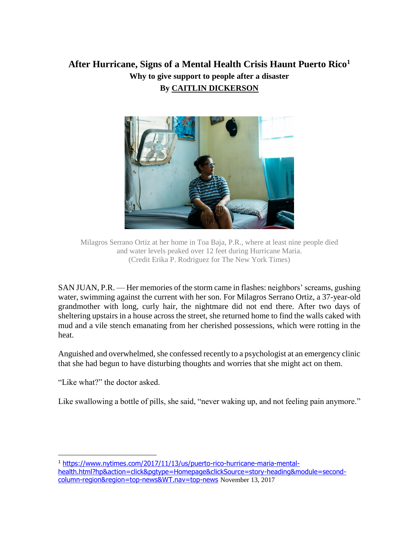## **After Hurricane, Signs of a Mental Health Crisis Haunt Puerto Rico<sup>1</sup> Why to give support to people after a disaster By [CAITLIN DICKERSON](https://www.nytimes.com/by/caitlin-dickerson)**



Milagros Serrano Ortiz at her home in Toa Baja, P.R., where at least nine people died and water levels peaked over 12 feet during Hurricane Maria. (Credit Erika P. Rodriguez for The New York Times)

SAN JUAN, P.R. — Her memories of the storm came in flashes: neighbors' screams, gushing water, swimming against the current with her son. For Milagros Serrano Ortiz, a 37-year-old grandmother with long, curly hair, the nightmare did not end there. After two days of sheltering upstairs in a house across the street, she returned home to find the walls caked with mud and a vile stench emanating from her cherished possessions, which were rotting in the heat.

Anguished and overwhelmed, she confessed recently to a psychologist at an emergency clinic that she had begun to have disturbing thoughts and worries that she might act on them.

"Like what?" the doctor asked.

 $\overline{a}$ 

Like swallowing a bottle of pills, she said, "never waking up, and not feeling pain anymore."

<sup>1</sup> [https://www.nytimes.com/2017/11/13/us/puerto-rico-hurricane-maria-mental](https://www.nytimes.com/2017/11/13/us/puerto-rico-hurricane-maria-mental-health.html?hp&action=click&pgtype=Homepage&clickSource=story-heading&module=second-column-region®ion=top-news&WT.nav=top-news)[health.html?hp&action=click&pgtype=Homepage&clickSource=story-heading&module=second](https://www.nytimes.com/2017/11/13/us/puerto-rico-hurricane-maria-mental-health.html?hp&action=click&pgtype=Homepage&clickSource=story-heading&module=second-column-region®ion=top-news&WT.nav=top-news)[column-region&region=top-news&WT.nav=top-news](https://www.nytimes.com/2017/11/13/us/puerto-rico-hurricane-maria-mental-health.html?hp&action=click&pgtype=Homepage&clickSource=story-heading&module=second-column-region®ion=top-news&WT.nav=top-news) November 13, 2017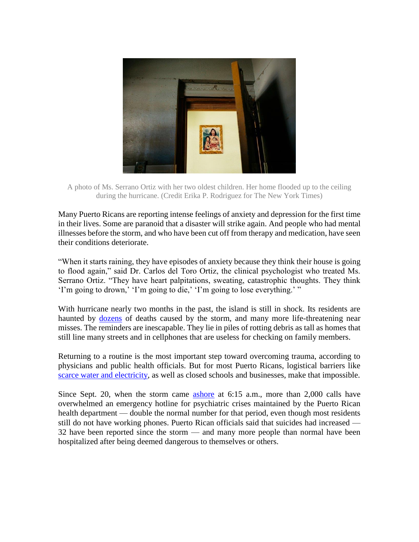

A photo of Ms. Serrano Ortiz with her two oldest children. Her home flooded up to the ceiling during the hurricane. (Credit Erika P. Rodriguez for The New York Times)

Many Puerto Ricans are reporting intense feelings of anxiety and depression for the first time in their lives. Some are paranoid that a disaster will strike again. And people who had mental illnesses before the storm, and who have been cut off from therapy and medication, have seen their conditions deteriorate.

"When it starts raining, they have episodes of anxiety because they think their house is going to flood again," said Dr. Carlos del Toro Ortiz, the clinical psychologist who treated Ms. Serrano Ortiz. "They have heart palpitations, sweating, catastrophic thoughts. They think 'I'm going to drown,' 'I'm going to die,' 'I'm going to lose everything.' "

With hurricane nearly two months in the past, the island is still in shock. Its residents are haunted by [dozens](https://www.nytimes.com/2017/11/08/us/puerto-rico-deaths-fema.html?smid=tw-share) of deaths caused by the storm, and many more life-threatening near misses. The reminders are inescapable. They lie in piles of rotting debris as tall as homes that still line many streets and in cellphones that are useless for checking on family members.

Returning to a routine is the most important step toward overcoming trauma, according to physicians and public health officials. But for most Puerto Ricans, logistical barriers like [scarce water and electricity,](https://www.nytimes.com/2017/10/16/us/hurricane-maria-puerto-rico-stranded.html?_r=0) as well as closed schools and businesses, make that impossible.

Since Sept. 20, when the storm came [ashore](http://www.nhc.noaa.gov/archive/2017/al15/al152017.discus.018.shtml) at 6:15 a.m., more than 2,000 calls have overwhelmed an emergency hotline for psychiatric crises maintained by the Puerto Rican health department — double the normal number for that period, even though most residents still do not have working phones. Puerto Rican officials said that suicides had increased — 32 have been reported since the storm — and many more people than normal have been hospitalized after being deemed dangerous to themselves or others.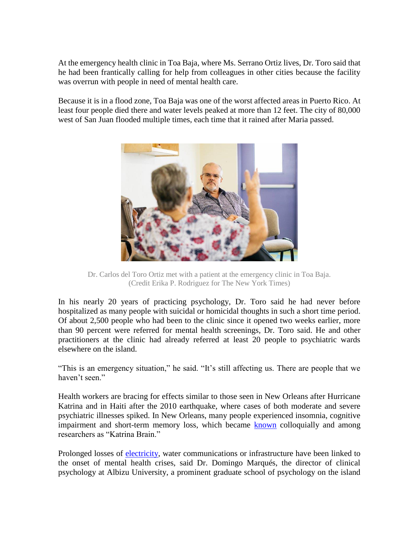At the emergency health clinic in Toa Baja, where Ms. Serrano Ortiz lives, Dr. Toro said that he had been frantically calling for help from colleagues in other cities because the facility was overrun with people in need of mental health care.

Because it is in a flood zone, Toa Baja was one of the worst affected areas in Puerto Rico. At least four people died there and water levels peaked at more than 12 feet. The city of 80,000 west of San Juan flooded multiple times, each time that it rained after Maria passed.



Dr. Carlos del Toro Ortiz met with a patient at the emergency clinic in Toa Baja. (Credit Erika P. Rodriguez for The New York Times)

In his nearly 20 years of practicing psychology, Dr. Toro said he had never before hospitalized as many people with suicidal or homicidal thoughts in such a short time period. Of about 2,500 people who had been to the clinic since it opened two weeks earlier, more than 90 percent were referred for mental health screenings, Dr. Toro said. He and other practitioners at the clinic had already referred at least 20 people to psychiatric wards elsewhere on the island.

"This is an emergency situation," he said. "It's still affecting us. There are people that we haven't seen."

Health workers are bracing for effects similar to those seen in New Orleans after Hurricane Katrina and in Haiti after the 2010 earthquake, where cases of both moderate and severe psychiatric illnesses spiked. In New Orleans, many people experienced insomnia, cognitive impairment and short-term memory loss, which became [known](https://www.medpagetoday.com/meetingcoverage/uspsychiatricmentalhealthcongress/4582) colloquially and among researchers as "Katrina Brain."

Prolonged losses of [electricity,](https://www.ncbi.nlm.nih.gov/pubmed/27087495) water communications or infrastructure have been linked to the onset of mental health crises, said Dr. Domingo Marqués, the director of clinical psychology at Albizu University, a prominent graduate school of psychology on the island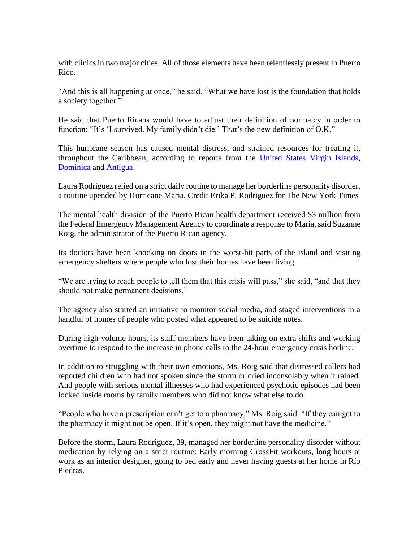with clinics in two major cities. All of those elements have been relentlessly present in Puerto Rico.

"And this is all happening at once," he said. "What we have lost is the foundation that holds a society together."

He said that Puerto Ricans would have to adjust their definition of normalcy in order to function: "It's 'I survived. My family didn't die.' That's the new definition of O.K."

This hurricane season has caused mental distress, and strained resources for treating it, throughout the Caribbean, according to reports from the [United States Virgin Islands,](https://stthomassource.com/content/2017/10/05/mental-health-division-copes-with-storm-stress/) [Dominica](http://www.loopnewsbarbados.com/content/dr-rock-double-disaster-traumatic-dominicans) and [Antigua.](http://www.miamiherald.com/news/nation-world/world/americas/article179344361.html)

Laura Rodriguez relied on a strict daily routine to manage her borderline personality disorder, a routine upended by Hurricane Maria. Credit Erika P. Rodriguez for The New York Times

The mental health division of the Puerto Rican health department received \$3 million from the Federal Emergency Management Agency to coordinate a response to Maria, said Suzanne Roig, the administrator of the Puerto Rican agency.

Its doctors have been knocking on doors in the worst-hit parts of the island and visiting emergency shelters where people who lost their homes have been living.

"We are trying to reach people to tell them that this crisis will pass," she said, "and that they should not make permanent decisions."

The agency also started an initiative to monitor social media, and staged interventions in a handful of homes of people who posted what appeared to be suicide notes.

During high-volume hours, its staff members have been taking on extra shifts and working overtime to respond to the increase in phone calls to the 24-hour emergency crisis hotline.

In addition to struggling with their own emotions, Ms. Roig said that distressed callers had reported children who had not spoken since the storm or cried inconsolably when it rained. And people with serious mental illnesses who had experienced psychotic episodes had been locked inside rooms by family members who did not know what else to do.

"People who have a prescription can't get to a pharmacy," Ms. Roig said. "If they can get to the pharmacy it might not be open. If it's open, they might not have the medicine."

Before the storm, Laura Rodriguez, 39, managed her borderline personality disorder without medication by relying on a strict routine: Early morning CrossFit workouts, long hours at work as an interior designer, going to bed early and never having guests at her home in Río Piedras.